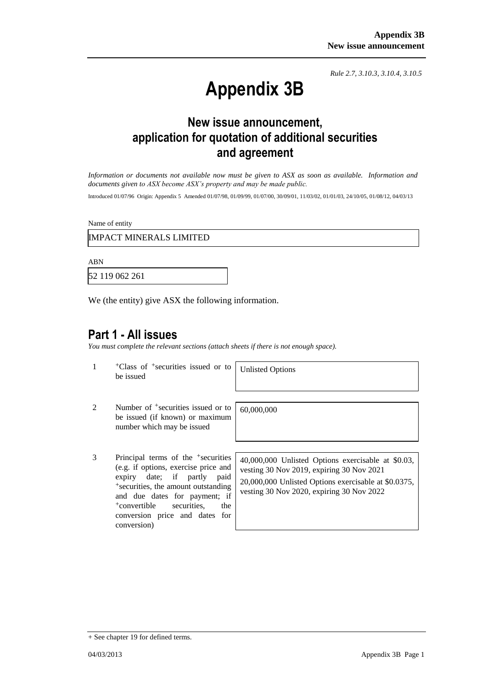*Rule 2.7, 3.10.3, 3.10.4, 3.10.5*

# **Appendix 3B**

# **New issue announcement, application for quotation of additional securities and agreement**

*Information or documents not available now must be given to ASX as soon as available. Information and documents given to ASX become ASX's property and may be made public.*

Introduced 01/07/96 Origin: Appendix 5 Amended 01/07/98, 01/09/99, 01/07/00, 30/09/01, 11/03/02, 01/01/03, 24/10/05, 01/08/12, 04/03/13

Name of entity

IMPACT MINERALS LIMITED

ABN

52 119 062 261

We (the entity) give ASX the following information.

#### **Part 1 - All issues**

*You must complete the relevant sections (attach sheets if there is not enough space).*

1 +Class of +securities issued or to be issued

Unlisted Options

60,000,000

- 2 Number of <sup>+</sup>securities issued or to be issued (if known) or maximum number which may be issued
- 3 Principal terms of the +securities (e.g. if options, exercise price and expiry date; if partly paid +securities, the amount outstanding and due dates for payment; if +convertible securities, the conversion price and dates for conversion)

40,000,000 Unlisted Options exercisable at \$0.03, vesting 30 Nov 2019, expiring 30 Nov 2021 20,000,000 Unlisted Options exercisable at \$0.0375, vesting 30 Nov 2020, expiring 30 Nov 2022

<sup>+</sup> See chapter 19 for defined terms.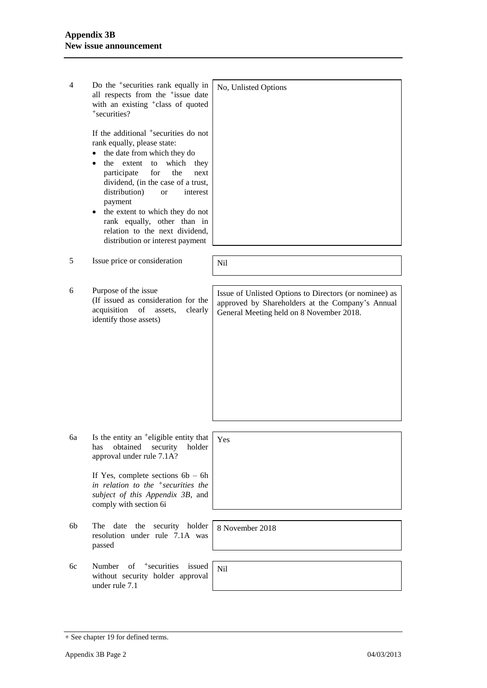| 4  | Do the <sup>+</sup> securities rank equally in<br>all respects from the <sup>+</sup> issue date<br>with an existing <sup>+</sup> class of quoted<br>+securities?                                                                                                                                                                                                                                                                    | No, Unlisted Options                                                                                                                                   |
|----|-------------------------------------------------------------------------------------------------------------------------------------------------------------------------------------------------------------------------------------------------------------------------------------------------------------------------------------------------------------------------------------------------------------------------------------|--------------------------------------------------------------------------------------------------------------------------------------------------------|
|    | If the additional <sup>+</sup> securities do not<br>rank equally, please state:<br>the date from which they do<br>to<br>which<br>the<br>extent<br>they<br>participate<br>for<br>the<br>next<br>dividend, (in the case of a trust,<br>distribution)<br>interest<br><b>or</b><br>payment<br>the extent to which they do not<br>٠<br>rank equally, other than in<br>relation to the next dividend,<br>distribution or interest payment |                                                                                                                                                        |
| 5  | Issue price or consideration                                                                                                                                                                                                                                                                                                                                                                                                        | Nil                                                                                                                                                    |
| 6  | Purpose of the issue<br>(If issued as consideration for the<br>acquisition<br>of<br>assets,<br>clearly<br>identify those assets)                                                                                                                                                                                                                                                                                                    | Issue of Unlisted Options to Directors (or nominee) as<br>approved by Shareholders at the Company's Annual<br>General Meeting held on 8 November 2018. |
| 6a | Is the entity an <sup>+</sup> eligible entity that<br>obtained<br>holder<br>has<br>security<br>approval under rule 7.1A?<br>If Yes, complete sections $6b - 6h$<br>in relation to the $\pm$ securities the<br>subject of this Appendix 3B, and<br>comply with section 6i                                                                                                                                                            | Yes                                                                                                                                                    |
| 6b | date<br>the security holder<br>The<br>resolution under rule 7.1A was<br>passed                                                                                                                                                                                                                                                                                                                                                      | 8 November 2018                                                                                                                                        |
| 6c | of +securities<br>Number<br>issued<br>without security holder approval<br>under rule 7.1                                                                                                                                                                                                                                                                                                                                            | Nil                                                                                                                                                    |
|    |                                                                                                                                                                                                                                                                                                                                                                                                                                     |                                                                                                                                                        |

<sup>+</sup> See chapter 19 for defined terms.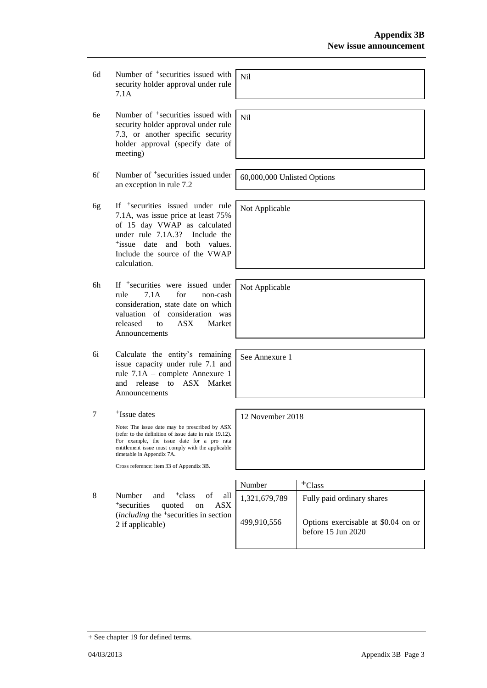- 6d Number of <sup>+</sup>securities issued with security holder approval under rule 7.1A Nil
- 6e Number of +securities issued with security holder approval under rule 7.3, or another specific security holder approval (specify date of meeting)
- 6f Number of +securities issued under an exception in rule 7.2
- 6g If +securities issued under rule 7.1A, was issue price at least 75% of 15 day VWAP as calculated under rule 7.1A.3? Include the +issue date and both values. Include the source of the VWAP calculation.
- 6h If +securities were issued under rule 7.1A for non-cash consideration, state date on which valuation of consideration was released to ASX Market Announcements
- 6i Calculate the entity's remaining issue capacity under rule 7.1 and rule 7.1A – complete Annexure 1 and release to ASX Market Announcements
- 7 +Issue dates

Note: The issue date may be prescribed by ASX (refer to the definition of issue date in rule 19.12). For example, the issue date for a pro rata entitlement issue must comply with the applicable timetable in Appendix 7A.

Cross reference: item 33 of Appendix 3B.

8 Number and <sup>+</sup>class of all <sup>+</sup>securities quoted on ASX (*including* the <sup>+</sup>securities in section 2 if applicable)

| Number        | ™Class                                                        |
|---------------|---------------------------------------------------------------|
| 1,321,679,789 | Fully paid ordinary shares                                    |
| 499,910,556   | Options exercisable at \$0.04 on or<br>before $15$ Jun $2020$ |

60,000,000 Unlisted Options

Not Applicable

Nil

Not Applicable

See Annexure 1

12 November 2018

+ See chapter 19 for defined terms.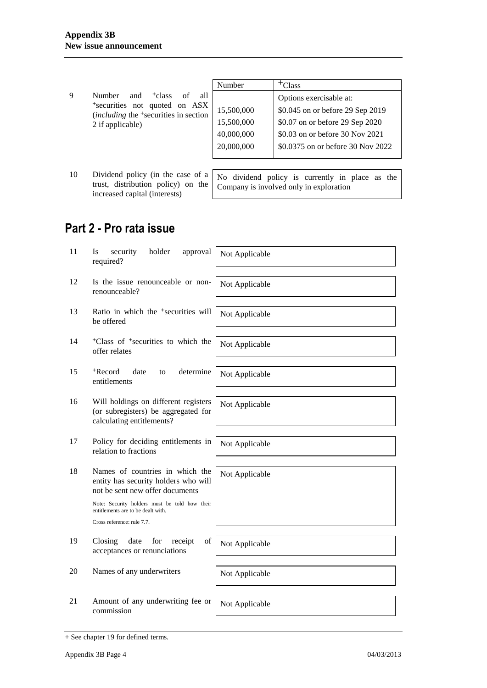|   |                                                                                                                                                                    | Number                                               | <sup>+</sup> Class                                                                                                                                                     |
|---|--------------------------------------------------------------------------------------------------------------------------------------------------------------------|------------------------------------------------------|------------------------------------------------------------------------------------------------------------------------------------------------------------------------|
| 9 | <sup>+</sup> class<br>Number<br>all<br>and<br>οf<br>*securities not quoted on ASX<br><i>(including the <sup>+</sup>securities in section</i> )<br>2 if applicable) | 15,500,000<br>15,500,000<br>40,000,000<br>20,000,000 | Options exercisable at:<br>\$0.045 on or before 29 Sep 2019<br>\$0.07 on or before 29 Sep 2020<br>\$0.03 on or before 30 Nov 2021<br>\$0.0375 on or before 30 Nov 2022 |
|   |                                                                                                                                                                    |                                                      |                                                                                                                                                                        |

10 Dividend policy (in the case of a trust, distribution policy) on the increased capital (interests) No dividend policy is currently in place as the Company is involved only in exploration

## **Part 2 - Pro rata issue**

| 11 | security<br>holder<br>Is<br>approval<br>required?                                                                 | Not Applicable |
|----|-------------------------------------------------------------------------------------------------------------------|----------------|
| 12 | Is the issue renounceable or non-<br>renounceable?                                                                | Not Applicable |
| 13 | Ratio in which the <sup>+</sup> securities will<br>be offered                                                     | Not Applicable |
| 14 | <sup>+</sup> Class of <sup>+</sup> securities to which the<br>offer relates                                       | Not Applicable |
| 15 | +Record<br>date<br>determine<br>to<br>entitlements                                                                | Not Applicable |
| 16 | Will holdings on different registers<br>(or subregisters) be aggregated for<br>calculating entitlements?          | Not Applicable |
| 17 | Policy for deciding entitlements in<br>relation to fractions                                                      | Not Applicable |
| 18 | Names of countries in which the<br>entity has security holders who will<br>not be sent new offer documents        | Not Applicable |
|    | Note: Security holders must be told how their<br>entitlements are to be dealt with.<br>Cross reference: rule 7.7. |                |
| 19 | Closing<br>for<br>of<br>date<br>receipt<br>acceptances or renunciations                                           | Not Applicable |
| 20 | Names of any underwriters                                                                                         | Not Applicable |
| 21 | Amount of any underwriting fee or<br>commission                                                                   | Not Applicable |
|    |                                                                                                                   |                |

<sup>+</sup> See chapter 19 for defined terms.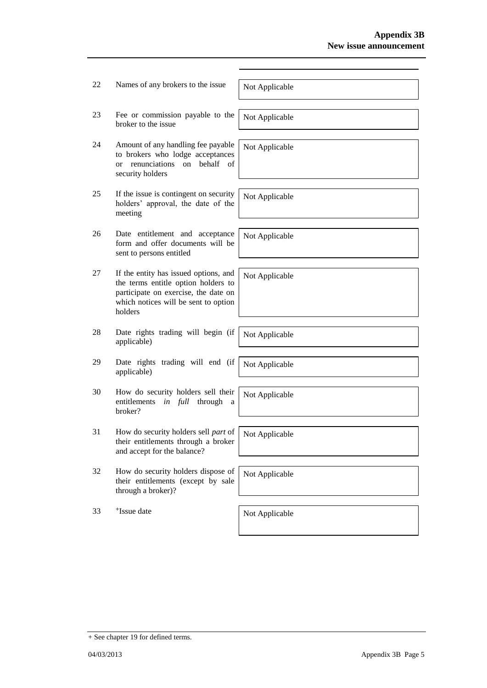| 22 | Names of any brokers to the issue                                                                                                                                       | Not Applicable |
|----|-------------------------------------------------------------------------------------------------------------------------------------------------------------------------|----------------|
| 23 | Fee or commission payable to the<br>broker to the issue                                                                                                                 | Not Applicable |
| 24 | Amount of any handling fee payable<br>to brokers who lodge acceptances<br>behalf<br>renunciations<br>on<br>- of<br><sub>or</sub><br>security holders                    | Not Applicable |
| 25 | If the issue is contingent on security<br>holders' approval, the date of the<br>meeting                                                                                 | Not Applicable |
| 26 | Date entitlement and acceptance<br>form and offer documents will be<br>sent to persons entitled                                                                         | Not Applicable |
| 27 | If the entity has issued options, and<br>the terms entitle option holders to<br>participate on exercise, the date on<br>which notices will be sent to option<br>holders | Not Applicable |
| 28 | Date rights trading will begin (if<br>applicable)                                                                                                                       | Not Applicable |
| 29 | Date rights trading will end (if<br>applicable)                                                                                                                         | Not Applicable |
| 30 | How do security holders sell their<br>in full<br>entitlements<br>through<br>a<br>broker?                                                                                | Not Applicable |
| 31 | How do security holders sell part of<br>their entitlements through a broker<br>and accept for the balance?                                                              | Not Applicable |
| 32 | How do security holders dispose of<br>their entitlements (except by sale<br>through a broker)?                                                                          | Not Applicable |
| 33 | <sup>+</sup> Issue date                                                                                                                                                 | Not Applicable |
|    |                                                                                                                                                                         |                |

<sup>+</sup> See chapter 19 for defined terms.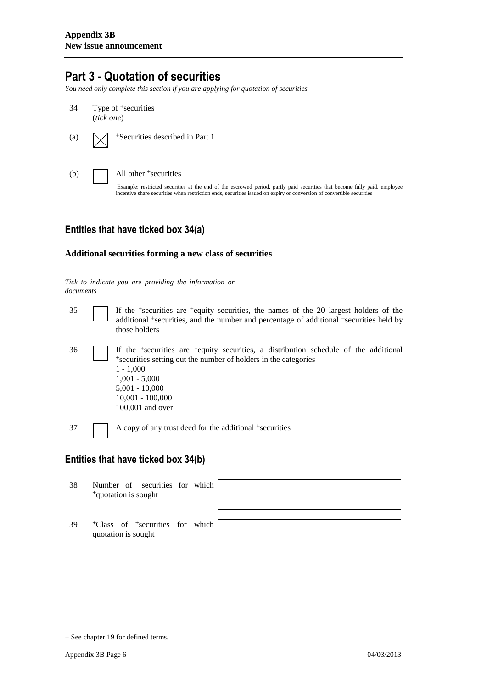### **Part 3 - Quotation of securities**

*You need only complete this section if you are applying for quotation of securities*

- 34 Type of <sup>+</sup>securities (*tick one*) (a)  $\sqrt{\phantom{a}}$  +Securities described in Part 1
- 

(b) All other + securities

Example: restricted securities at the end of the escrowed period, partly paid securities that become fully paid, employee incentive share securities when restriction ends, securities issued on expiry or conversion of convertible securities

#### **Entities that have ticked box 34(a)**

#### **Additional securities forming a new class of securities**

*Tick to indicate you are providing the information or documents*

35 If the <sup>+</sup> securities are <sup>+</sup>equity securities, the names of the 20 largest holders of the additional <sup>+</sup>securities, and the number and percentage of additional <sup>+</sup>securities held by those holders 36 If the <sup>+</sup> securities are <sup>+</sup>equity securities, a distribution schedule of the additional <sup>+</sup>securities setting out the number of holders in the categories 1 - 1,000 1,001 - 5,000 5,001 - 10,000 10,001 - 100,000 100,001 and over

### **Entities that have ticked box 34(b)**

37 A copy of any trust deed for the additional <sup>+</sup>securities

38 Number of <sup>+</sup>securities for which <sup>+</sup>quotation is sought

39 <sup>+</sup>Class of <sup>+</sup>securities for which quotation is sought

<sup>+</sup> See chapter 19 for defined terms.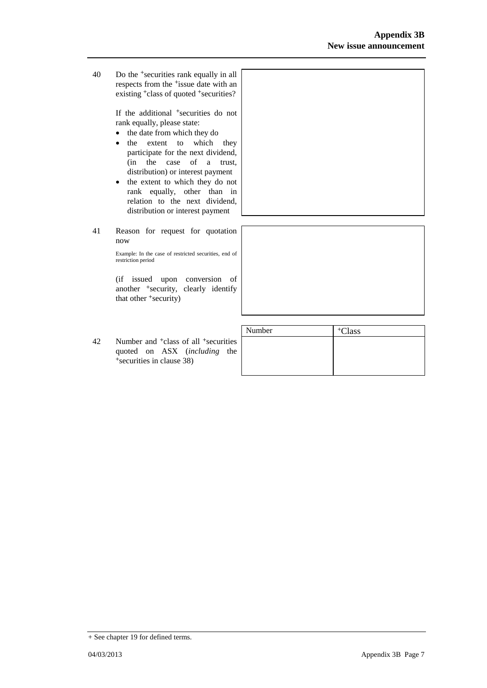40 Do the <sup>+</sup>securities rank equally in all respects from the <sup>+</sup>issue date with an existing <sup>+</sup>class of quoted <sup>+</sup>securities?

> If the additional <sup>+</sup>securities do not rank equally, please state:

- the date from which they do
- the extent to which they participate for the next dividend, (in the case of a trust, distribution) or interest payment
- the extent to which they do not rank equally, other than in relation to the next dividend, distribution or interest payment
- 41 Reason for request for quotation now

Example: In the case of restricted securities, end of restriction period

(if issued upon conversion of another <sup>+</sup>security, clearly identify that other <sup>+</sup>security)

42 Number and <sup>+</sup>class of all <sup>+</sup>securities quoted on ASX (*including* the +securities in clause 38)

| Number | <sup>+</sup> Class |
|--------|--------------------|
|        |                    |
|        |                    |
|        |                    |
|        |                    |

<sup>+</sup> See chapter 19 for defined terms.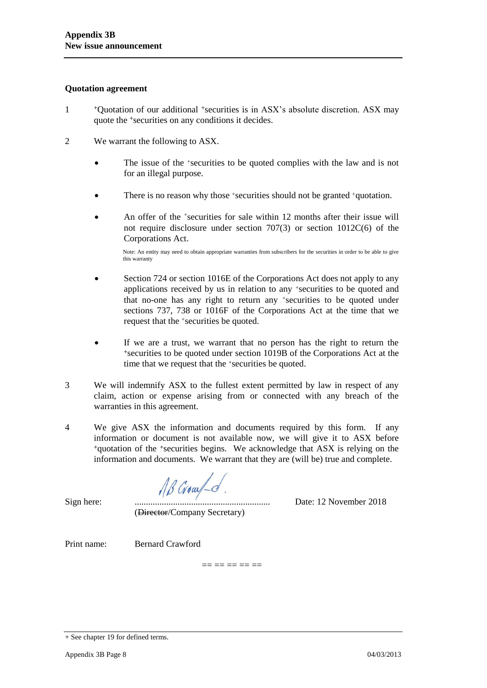#### **Quotation agreement**

- 1 <sup>+</sup>Quotation of our additional +securities is in ASX's absolute discretion. ASX may quote the +securities on any conditions it decides.
- 2 We warrant the following to ASX.
	- The issue of the +securities to be quoted complies with the law and is not for an illegal purpose.
	- There is no reason why those +securities should not be granted +quotation.
	- An offer of the <sup>+</sup>securities for sale within 12 months after their issue will not require disclosure under section 707(3) or section 1012C(6) of the Corporations Act.

Note: An entity may need to obtain appropriate warranties from subscribers for the securities in order to be able to give this warranty

- Section 724 or section 1016E of the Corporations Act does not apply to any applications received by us in relation to any +securities to be quoted and that no-one has any right to return any +securities to be quoted under sections 737, 738 or 1016F of the Corporations Act at the time that we request that the +securities be quoted.
- If we are a trust, we warrant that no person has the right to return the <sup>+</sup>securities to be quoted under section 1019B of the Corporations Act at the time that we request that the +securities be quoted.
- 3 We will indemnify ASX to the fullest extent permitted by law in respect of any claim, action or expense arising from or connected with any breach of the warranties in this agreement.
- 4 We give ASX the information and documents required by this form. If any information or document is not available now, we will give it to ASX before <sup>+</sup>quotation of the +securities begins. We acknowledge that ASX is relying on the information and documents. We warrant that they are (will be) true and complete.

AB Grow -d

Sign here: ............................................................ Date: 12 November 2018

(Director/Company Secretary)

Print name: Bernard Crawford

 $=$   $=$   $=$   $=$   $=$   $=$ 

<sup>+</sup> See chapter 19 for defined terms.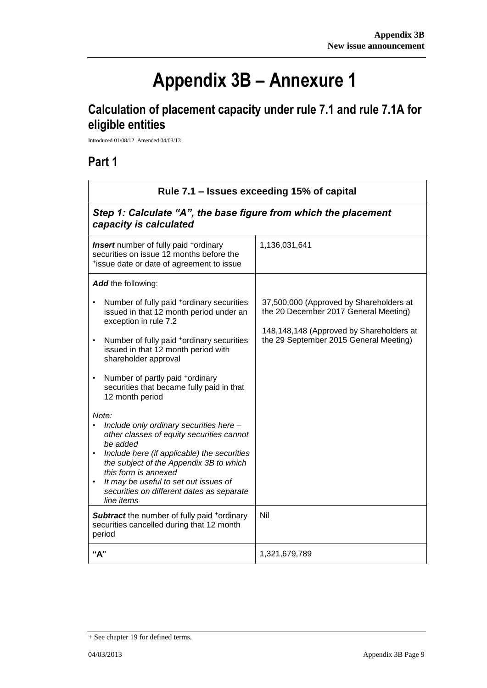$\overline{\phantom{a}}$ 

# **Appendix 3B – Annexure 1**

# **Calculation of placement capacity under rule 7.1 and rule 7.1A for eligible entities**

Introduced 01/08/12 Amended 04/03/13

## **Part 1**

 $\mathsf{r}$ 

| Rule 7.1 – Issues exceeding 15% of capital<br>Step 1: Calculate "A", the base figure from which the placement<br>capacity is calculated                                                                                                                                                                                                                   |                                                                                                                                                                        |  |
|-----------------------------------------------------------------------------------------------------------------------------------------------------------------------------------------------------------------------------------------------------------------------------------------------------------------------------------------------------------|------------------------------------------------------------------------------------------------------------------------------------------------------------------------|--|
|                                                                                                                                                                                                                                                                                                                                                           |                                                                                                                                                                        |  |
| <b>Add</b> the following:                                                                                                                                                                                                                                                                                                                                 |                                                                                                                                                                        |  |
| Number of fully paid <sup>+</sup> ordinary securities<br>$\bullet$<br>issued in that 12 month period under an<br>exception in rule 7.2<br>Number of fully paid <sup>+</sup> ordinary securities<br>$\bullet$<br>issued in that 12 month period with<br>shareholder approval                                                                               | 37,500,000 (Approved by Shareholders at<br>the 20 December 2017 General Meeting)<br>148,148,148 (Approved by Shareholders at<br>the 29 September 2015 General Meeting) |  |
| Number of partly paid +ordinary<br>$\bullet$<br>securities that became fully paid in that<br>12 month period                                                                                                                                                                                                                                              |                                                                                                                                                                        |  |
| Note:<br>Include only ordinary securities here -<br>other classes of equity securities cannot<br>be added<br>Include here (if applicable) the securities<br>$\bullet$<br>the subject of the Appendix 3B to which<br>this form is annexed<br>It may be useful to set out issues of<br>$\bullet$<br>securities on different dates as separate<br>line items |                                                                                                                                                                        |  |
| <b>Subtract</b> the number of fully paid +ordinary<br>securities cancelled during that 12 month<br>period                                                                                                                                                                                                                                                 | Nil                                                                                                                                                                    |  |
| "А"                                                                                                                                                                                                                                                                                                                                                       | 1,321,679,789                                                                                                                                                          |  |

<sup>+</sup> See chapter 19 for defined terms.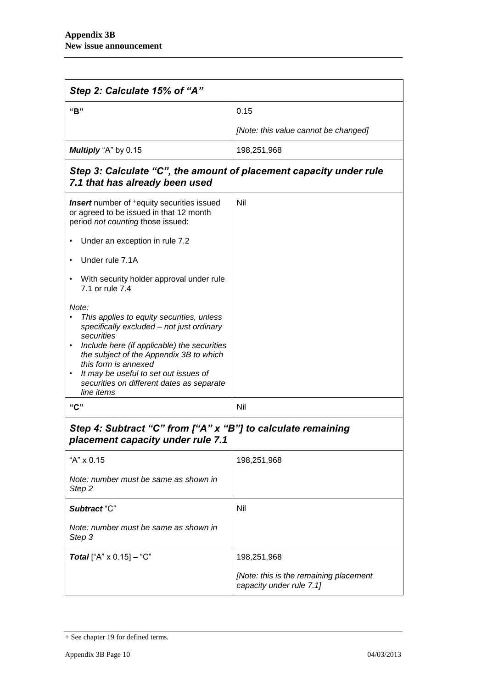| Step 2: Calculate 15% of "A"                                                                                                                                                                                                                                                                                                                                  |                                                                    |  |
|---------------------------------------------------------------------------------------------------------------------------------------------------------------------------------------------------------------------------------------------------------------------------------------------------------------------------------------------------------------|--------------------------------------------------------------------|--|
| "B"                                                                                                                                                                                                                                                                                                                                                           | 0.15                                                               |  |
|                                                                                                                                                                                                                                                                                                                                                               | [Note: this value cannot be changed]                               |  |
| Multiply "A" by 0.15                                                                                                                                                                                                                                                                                                                                          | 198,251,968                                                        |  |
| Step 3: Calculate "C", the amount of placement capacity under rule<br>7.1 that has already been used                                                                                                                                                                                                                                                          |                                                                    |  |
| <b>Insert</b> number of <sup>+</sup> equity securities issued<br>or agreed to be issued in that 12 month<br>period not counting those issued:                                                                                                                                                                                                                 | Nil                                                                |  |
| Under an exception in rule 7.2                                                                                                                                                                                                                                                                                                                                |                                                                    |  |
| Under rule 7.1A<br>$\bullet$                                                                                                                                                                                                                                                                                                                                  |                                                                    |  |
| With security holder approval under rule<br>$\bullet$<br>7.1 or rule 7.4                                                                                                                                                                                                                                                                                      |                                                                    |  |
| Note:<br>This applies to equity securities, unless<br>specifically excluded - not just ordinary<br>securities<br>Include here (if applicable) the securities<br>$\bullet$<br>the subject of the Appendix 3B to which<br>this form is annexed<br>It may be useful to set out issues of<br>$\bullet$<br>securities on different dates as separate<br>line items |                                                                    |  |
| "C"                                                                                                                                                                                                                                                                                                                                                           | Nil                                                                |  |
| Step 4: Subtract "C" from ["A" x "B"] to calculate remaining<br>placement capacity under rule 7.1                                                                                                                                                                                                                                                             |                                                                    |  |
| "A" x 0.15                                                                                                                                                                                                                                                                                                                                                    | 198,251,968                                                        |  |
| Note: number must be same as shown in<br>Step 2                                                                                                                                                                                                                                                                                                               |                                                                    |  |
| Subtract "C"                                                                                                                                                                                                                                                                                                                                                  | Nil                                                                |  |
| Note: number must be same as shown in<br>Step 3                                                                                                                                                                                                                                                                                                               |                                                                    |  |
| <b>Total</b> ["A" $\times$ 0.15] – "C"                                                                                                                                                                                                                                                                                                                        | 198,251,968                                                        |  |
|                                                                                                                                                                                                                                                                                                                                                               | [Note: this is the remaining placement<br>capacity under rule 7.1] |  |

<sup>+</sup> See chapter 19 for defined terms.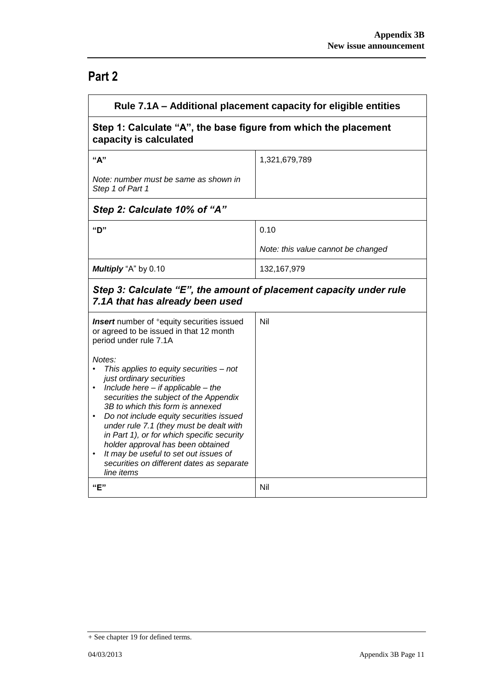## **Part 2**

| Rule 7.1A – Additional placement capacity for eligible entities                                                                                                                                                                                                                                                                                                                                                                                                                                                           |                                    |  |
|---------------------------------------------------------------------------------------------------------------------------------------------------------------------------------------------------------------------------------------------------------------------------------------------------------------------------------------------------------------------------------------------------------------------------------------------------------------------------------------------------------------------------|------------------------------------|--|
| Step 1: Calculate "A", the base figure from which the placement<br>capacity is calculated                                                                                                                                                                                                                                                                                                                                                                                                                                 |                                    |  |
| "A"                                                                                                                                                                                                                                                                                                                                                                                                                                                                                                                       | 1,321,679,789                      |  |
| Note: number must be same as shown in<br>Step 1 of Part 1                                                                                                                                                                                                                                                                                                                                                                                                                                                                 |                                    |  |
| Step 2: Calculate 10% of "A"                                                                                                                                                                                                                                                                                                                                                                                                                                                                                              |                                    |  |
| "ט"                                                                                                                                                                                                                                                                                                                                                                                                                                                                                                                       | 0.10                               |  |
|                                                                                                                                                                                                                                                                                                                                                                                                                                                                                                                           | Note: this value cannot be changed |  |
| Multiply "A" by 0.10                                                                                                                                                                                                                                                                                                                                                                                                                                                                                                      | 132, 167, 979                      |  |
| Step 3: Calculate "E", the amount of placement capacity under rule<br>7.1A that has already been used                                                                                                                                                                                                                                                                                                                                                                                                                     |                                    |  |
| <b>Insert</b> number of <sup>+</sup> equity securities issued<br>or agreed to be issued in that 12 month<br>period under rule 7.1A                                                                                                                                                                                                                                                                                                                                                                                        | Nil                                |  |
| Notes:<br>This applies to equity securities - not<br>just ordinary securities<br>Include here $-$ if applicable $-$ the<br>$\bullet$<br>securities the subject of the Appendix<br>3B to which this form is annexed<br>Do not include equity securities issued<br>$\bullet$<br>under rule 7.1 (they must be dealt with<br>in Part 1), or for which specific security<br>holder approval has been obtained<br>It may be useful to set out issues of<br>$\bullet$<br>securities on different dates as separate<br>line items |                                    |  |
| "E"                                                                                                                                                                                                                                                                                                                                                                                                                                                                                                                       | Nil                                |  |

<sup>+</sup> See chapter 19 for defined terms.